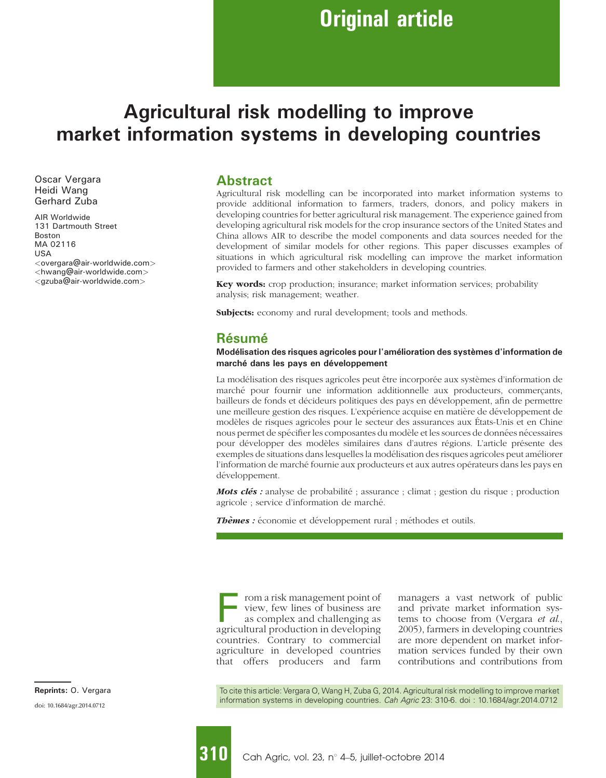# Agricultural risk modelling to improve market information systems in developing countries

Oscar Vergara Heidi Wang Gerhard Zuba

AIR Worldwide 131 Dartmouth Street Boston MA 02116 USA <overgara@air-worldwide.com> <hwang@air-worldwide.com> <gzuba@air-worldwide.com>

#### Abstract

Agricultural risk modelling can be incorporated into market information systems to provide additional information to farmers, traders, donors, and policy makers in developing countries for better agricultural risk management. The experience gained from developing agricultural risk models for the crop insurance sectors of the United States and China allows AIR to describe the model components and data sources needed for the development of similar models for other regions. This paper discusses examples of situations in which agricultural risk modelling can improve the market information provided to farmers and other stakeholders in developing countries.

Key words: crop production; insurance; market information services; probability analysis; risk management; weather.

Subjects: economy and rural development; tools and methods.

#### Résumé

#### Modélisation des risques agricoles pour l'amélioration des systèmes d'information de marché dans les pays en développement

La modélisation des risques agricoles peut être incorporée aux systèmes d'information de marché pour fournir une information additionnelle aux producteurs, commercants, bailleurs de fonds et de´cideurs politiques des pays en de´veloppement, afin de permettre une meilleure gestion des risques. L'expérience acquise en matière de développement de modèles de risques agricoles pour le secteur des assurances aux États-Unis et en Chine nous permet de spécifier les composantes du modèle et les sources de données nécessaires pour développer des modèles similaires dans d'autres régions. L'article présente des exemples de situations dans lesquelles la modélisation des risques agricoles peut améliorer l'information de marché fournie aux producteurs et aux autres opérateurs dans les pays en développement.

**Mots clés** : analyse de probabilité ; assurance ; climat ; gestion du risque ; production agricole ; service d'information de marche´.

Thèmes : économie et développement rural ; méthodes et outils.

rom a risk management point of view, few lines of business are as complex and challenging as agricultural production in developing countries. Contrary to commercial agriculture in developed countries that offers producers and farm

managers a vast network of public and private market information systems to choose from (Vergara et al., 2005), farmers in developing countries are more dependent on market information services funded by their own contributions and contributions from

To cite this article: Vergara O, Wang H, Zuba G, 2014. Agricultural risk modelling to improve market information systems in developing countries. Cah Agric 23: 310-6. doi : 10.1684/agr.2014.0712

doi: 10.1684/agr.2014.0712 Reprints: O. Vergara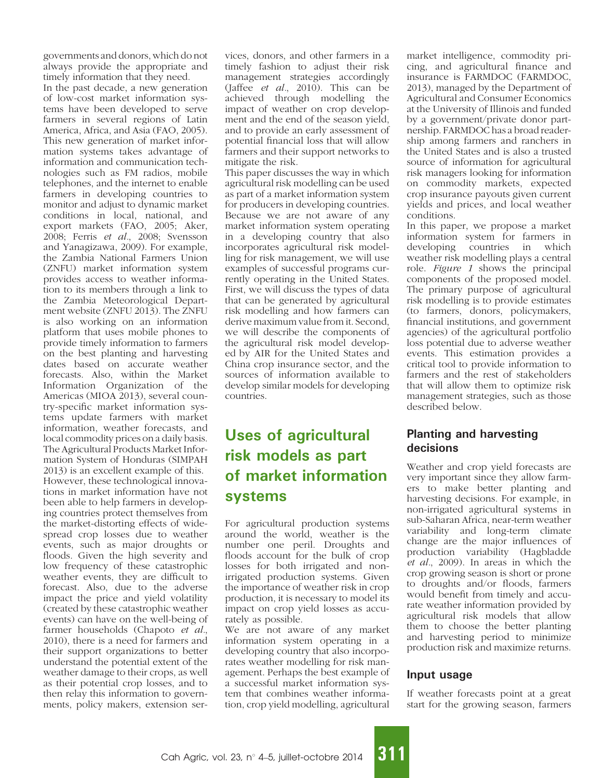governments and donors, which do not always provide the appropriate and timely information that they need.

In the past decade, a new generation of low-cost market information systems have been developed to serve farmers in several regions of Latin America, Africa, and Asia (FAO, 2005). This new generation of market information systems takes advantage of information and communication technologies such as FM radios, mobile telephones, and the internet to enable farmers in developing countries to monitor and adjust to dynamic market conditions in local, national, and export markets (FAO, 2005; Aker, 2008; Ferris et al., 2008; Svensson and Yanagizawa, 2009). For example, the Zambia National Farmers Union (ZNFU) market information system provides access to weather information to its members through a link to the Zambia Meteorological Department website (ZNFU 2013). The ZNFU is also working on an information platform that uses mobile phones to provide timely information to farmers on the best planting and harvesting dates based on accurate weather forecasts. Also, within the Market Information Organization of the Americas (MIOA 2013), several country-specific market information systems update farmers with market information, weather forecasts, and local commodity prices on a daily basis. The Agricultural Products Market Information System of Honduras (SIMPAH 2013) is an excellent example of this. However, these technological innovations in market information have not been able to help farmers in developing countries protect themselves from the market-distorting effects of widespread crop losses due to weather events, such as major droughts or floods. Given the high severity and low frequency of these catastrophic weather events, they are difficult to forecast. Also, due to the adverse impact the price and yield volatility (created by these catastrophic weather events) can have on the well-being of<br>farmer households (Chapoto *et al.*, farmer households (Chapoto *et al.*,<br>2010), there is a need for farmers and their support organizations to better understand the potential extent of the weather damage to their crops, as well as their potential crop losses, and to then relay this information to governments, policy makers, extension services, donors, and other farmers in a timely fashion to adjust their risk management strategies accordingly<br>(Jaffee *et al.*, 2010). This can be (Jaffee et al., 2010). This can be achieved through modelling the impact of weather on crop development and the end of the season yield, and to provide an early assessment of potential financial loss that will allow farmers and their support networks to mitigate the risk.

This paper discusses the way in which agricultural risk modelling can be used as part of a market information system for producers in developing countries. Because we are not aware of any market information system operating in a developing country that also incorporates agricultural risk modelling for risk management, we will use examples of successful programs currently operating in the United States. First, we will discuss the types of data that can be generated by agricultural risk modelling and how farmers can derive maximum value from it. Second, we will describe the components of the agricultural risk model developed by AIR for the United States and China crop insurance sector, and the sources of information available to develop similar models for developing countries.

# Uses of agricultural risk models as part of market information systems

For agricultural production systems around the world, weather is the number one peril. Droughts and floods account for the bulk of crop losses for both irrigated and nonirrigated production systems. Given the importance of weather risk in crop production, it is necessary to model its impact on crop yield losses as accurately as possible.

We are not aware of any market information system operating in a developing country that also incorporates weather modelling for risk management. Perhaps the best example of a successful market information system that combines weather information, crop yield modelling, agricultural market intelligence, commodity pricing, and agricultural finance and insurance is FARMDOC (FARMDOC, 2013), managed by the Department of Agricultural and Consumer Economics at the University of Illinois and funded by a government/private donor partnership. FARMDOC has a broad readership among farmers and ranchers in the United States and is also a trusted source of information for agricultural risk managers looking for information on commodity markets, expected crop insurance payouts given current yields and prices, and local weather conditions.

In this paper, we propose a market information system for farmers in developing countries in which weather risk modelling plays a central<br>role. *Figure 1* shows the principal role. *Figure 1* shows the principal components of the proposed model. The primary purpose of agricultural risk modelling is to provide estimates (to farmers, donors, policymakers, financial institutions, and government agencies) of the agricultural portfolio loss potential due to adverse weather events. This estimation provides a critical tool to provide information to farmers and the rest of stakeholders that will allow them to optimize risk management strategies, such as those described below.

### Planting and harvesting decisions

Weather and crop yield forecasts are very important since they allow farmers to make better planting and harvesting decisions. For example, in non-irrigated agricultural systems in sub-Saharan Africa, near-term weather variability and long-term climate change are the major influences of production variability (Hagbladde et al., 2009). In areas in which the crop growing season is short or prone to droughts and/or floods, farmers would benefit from timely and accurate weather information provided by agricultural risk models that allow them to choose the better planting and harvesting period to minimize production risk and maximize returns.

#### Input usage

If weather forecasts point at a great start for the growing season, farmers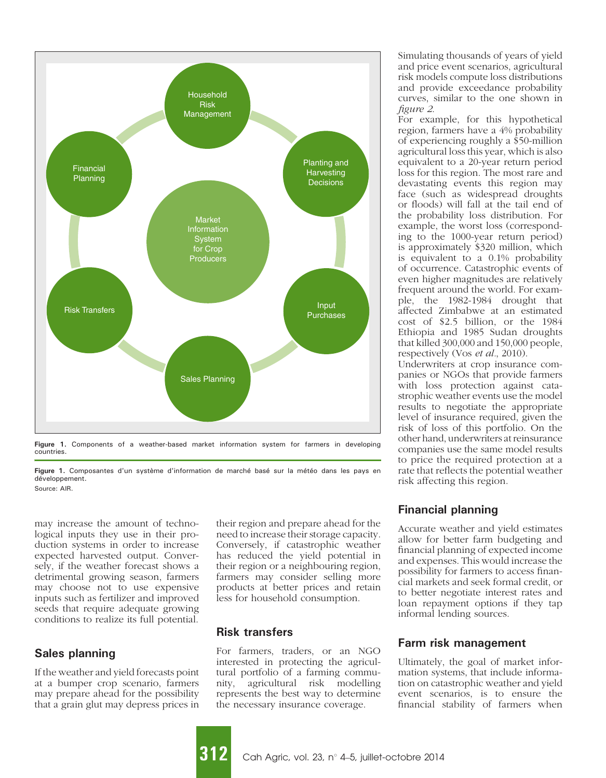

Figure 1. Components of a weather-based market information system for farmers in developing countries.

may increase the amount of technological inputs they use in their production systems in order to increase expected harvested output. Conversely, if the weather forecast shows a detrimental growing season, farmers may choose not to use expensive inputs such as fertilizer and improved seeds that require adequate growing conditions to realize its full potential.

#### Sales planning

If the weather and yield forecasts point at a bumper crop scenario, farmers may prepare ahead for the possibility that a grain glut may depress prices in

their region and prepare ahead for the need to increase their storage capacity. Conversely, if catastrophic weather has reduced the yield potential in their region or a neighbouring region, farmers may consider selling more products at better prices and retain less for household consumption.

#### Risk transfers

For farmers, traders, or an NGO interested in protecting the agricultural portfolio of a farming community, agricultural risk modelling represents the best way to determine the necessary insurance coverage.

Simulating thousands of years of yield and price event scenarios, agricultural risk models compute loss distributions and provide exceedance probability curves, similar to the one shown in figure 2.

For example, for this hypothetical region, farmers have a 4% probability of experiencing roughly a \$50-million agricultural loss this year, which is also equivalent to a 20-year return period loss for this region. The most rare and devastating events this region may face (such as widespread droughts or floods) will fall at the tail end of the probability loss distribution. For example, the worst loss (corresponding to the 1000-year return period) is approximately \$320 million, which is equivalent to a 0.1% probability of occurrence. Catastrophic events of even higher magnitudes are relatively frequent around the world. For example, the 1982-1984 drought that affected Zimbabwe at an estimated cost of \$2.5 billion, or the 1984 Ethiopia and 1985 Sudan droughts that killed 300,000 and 150,000 people, respectively (Vos et al., 2010).

Underwriters at crop insurance companies or NGOs that provide farmers with loss protection against catastrophic weather events use the model results to negotiate the appropriate level of insurance required, given the risk of loss of this portfolio. On the other hand, underwriters at reinsurance companies use the same model results to price the required protection at a rate that reflects the potential weather risk affecting this region.

### Financial planning

Accurate weather and yield estimates allow for better farm budgeting and financial planning of expected income and expenses. This would increase the possibility for farmers to access financial markets and seek formal credit, or to better negotiate interest rates and loan repayment options if they tap informal lending sources.

### Farm risk management

Ultimately, the goal of market information systems, that include information on catastrophic weather and yield event scenarios, is to ensure the financial stability of farmers when

Figure 1. Composantes d'un système d'information de marché basé sur la météo dans les pays en développement. Source: AIR.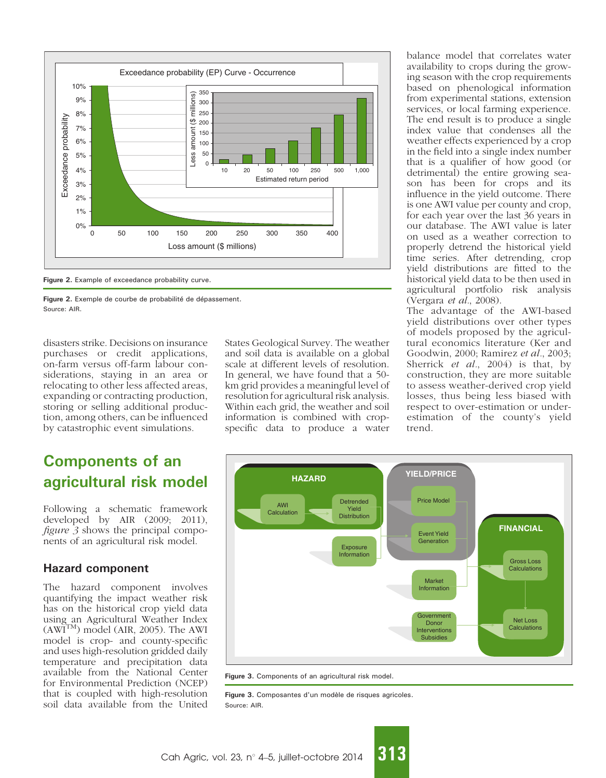

Figure 2. Exemple de courbe de probabilité de dépassement. Source: AIR.

disasters strike. Decisions on insurance purchases or credit applications, on-farm versus off-farm labour considerations, staying in an area or relocating to other less affected areas, expanding or contracting production, storing or selling additional production, among others, can be influenced by catastrophic event simulations.

## Components of an agricultural risk model

Following a schematic framework developed by AIR (2009; 2011), figure 3 shows the principal components of an agricultural risk model.

### Hazard component

The hazard component involves quantifying the impact weather risk has on the historical crop yield data using an Agricultural Weather Index  $(AWT<sup>TM</sup>)$  model (AIR, 2005). The AWI model is crop- and county-specific and uses high-resolution gridded daily temperature and precipitation data available from the National Center for Environmental Prediction (NCEP) that is coupled with high-resolution soil data available from the United

States Geological Survey. The weather and soil data is available on a global scale at different levels of resolution. In general, we have found that a 50 km grid provides a meaningful level of resolution for agricultural risk analysis. Within each grid, the weather and soil information is combined with cropspecific data to produce a water

balance model that correlates water availability to crops during the growing season with the crop requirements based on phenological information from experimental stations, extension services, or local farming experience. The end result is to produce a single index value that condenses all the weather effects experienced by a crop in the field into a single index number that is a qualifier of how good (or detrimental) the entire growing season has been for crops and its influence in the yield outcome. There is one AWI value per county and crop, for each year over the last 36 years in our database. The AWI value is later on used as a weather correction to properly detrend the historical yield time series. After detrending, crop yield distributions are fitted to the historical yield data to be then used in agricultural portfolio risk analysis (Vergara et al., 2008).

The advantage of the AWI-based yield distributions over other types of models proposed by the agricultural economics literature (Ker and Goodwin, 2000; Ramirez et al., 2003; Sherrick et al., 2004) is that, by construction, they are more suitable to assess weather-derived crop yield losses, thus being less biased with respect to over-estimation or underestimation of the county's yield trend.



Figure 3. Components of an agricultural risk model.

Figure 3. Composantes d'un modèle de risques agricoles. Source: AIR.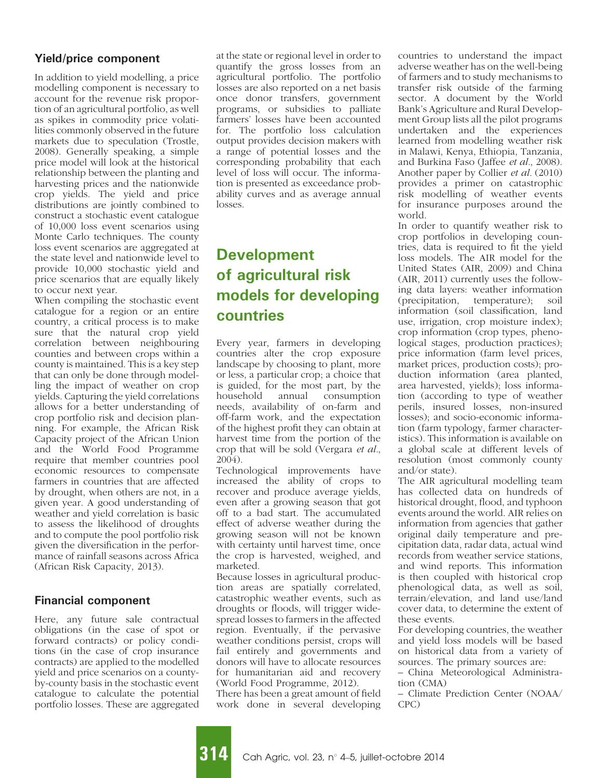### Yield/price component

In addition to yield modelling, a price modelling component is necessary to account for the revenue risk proportion of an agricultural portfolio, as well as spikes in commodity price volatilities commonly observed in the future markets due to speculation (Trostle, 2008). Generally speaking, a simple price model will look at the historical relationship between the planting and harvesting prices and the nationwide crop yields. The yield and price distributions are jointly combined to construct a stochastic event catalogue of 10,000 loss event scenarios using Monte Carlo techniques. The county loss event scenarios are aggregated at the state level and nationwide level to provide 10,000 stochastic yield and price scenarios that are equally likely to occur next year.

When compiling the stochastic event catalogue for a region or an entire country, a critical process is to make sure that the natural crop yield correlation between neighbouring counties and between crops within a county is maintained. This is a key step that can only be done through modelling the impact of weather on crop yields. Capturing the yield correlations allows for a better understanding of crop portfolio risk and decision planning. For example, the African Risk Capacity project of the African Union and the World Food Programme require that member countries pool economic resources to compensate farmers in countries that are affected by drought, when others are not, in a given year. A good understanding of weather and yield correlation is basic to assess the likelihood of droughts and to compute the pool portfolio risk given the diversification in the performance of rainfall seasons across Africa (African Risk Capacity, 2013).

### Financial component

Here, any future sale contractual obligations (in the case of spot or forward contracts) or policy conditions (in the case of crop insurance contracts) are applied to the modelled yield and price scenarios on a countyby-county basis in the stochastic event catalogue to calculate the potential portfolio losses. These are aggregated

at the state or regional level in order to quantify the gross losses from an agricultural portfolio. The portfolio losses are also reported on a net basis once donor transfers, government programs, or subsidies to palliate farmers' losses have been accounted for. The portfolio loss calculation output provides decision makers with a range of potential losses and the corresponding probability that each level of loss will occur. The information is presented as exceedance probability curves and as average annual losses.

# Development of agricultural risk models for developing countries

Every year, farmers in developing countries alter the crop exposure landscape by choosing to plant, more or less, a particular crop; a choice that is guided, for the most part, by the household annual consumption needs, availability of on-farm and off-farm work, and the expectation of the highest profit they can obtain at harvest time from the portion of the crop that will be sold (Vergara et al., 2004).

Technological improvements have increased the ability of crops to recover and produce average yields, even after a growing season that got off to a bad start. The accumulated effect of adverse weather during the growing season will not be known with certainty until harvest time, once the crop is harvested, weighed, and marketed.

Because losses in agricultural production areas are spatially correlated, catastrophic weather events, such as droughts or floods, will trigger widespread losses to farmers in the affected region. Eventually, if the pervasive weather conditions persist, crops will fail entirely and governments and donors will have to allocate resources for humanitarian aid and recovery (World Food Programme, 2012).

There has been a great amount of field work done in several developing countries to understand the impact adverse weather has on the well-being of farmers and to study mechanisms to transfer risk outside of the farming sector. A document by the World Bank's Agriculture and Rural Development Group lists all the pilot programs undertaken and the experiences learned from modelling weather risk in Malawi, Kenya, Ethiopia, Tanzania, and Burkina Faso (Jaffee et al., 2008). Another paper by Collier et al. (2010) provides a primer on catastrophic risk modelling of weather events for insurance purposes around the world.

In order to quantify weather risk to crop portfolios in developing countries, data is required to fit the yield loss models. The AIR model for the United States (AIR, 2009) and China (AIR, 2011) currently uses the following data layers: weather information (precipitation, temperature); soil information (soil classification, land use, irrigation, crop moisture index); crop information (crop types, phenological stages, production practices); price information (farm level prices, market prices, production costs); production information (area planted, area harvested, yields); loss information (according to type of weather perils, insured losses, non-insured losses); and socio-economic information (farm typology, farmer characteristics). This information is available on a global scale at different levels of resolution (most commonly county and/or state).

The AIR agricultural modelling team has collected data on hundreds of historical drought, flood, and typhoon events around the world. AIR relies on information from agencies that gather original daily temperature and precipitation data, radar data, actual wind records from weather service stations, and wind reports. This information is then coupled with historical crop phenological data, as well as soil, terrain/elevation, and land use/land cover data, to determine the extent of these events.

For developing countries, the weather and yield loss models will be based on historical data from a variety of sources. The primary sources are:

– China Meteorological Administration (CMA)

– Climate Prediction Center (NOAA/ CPC)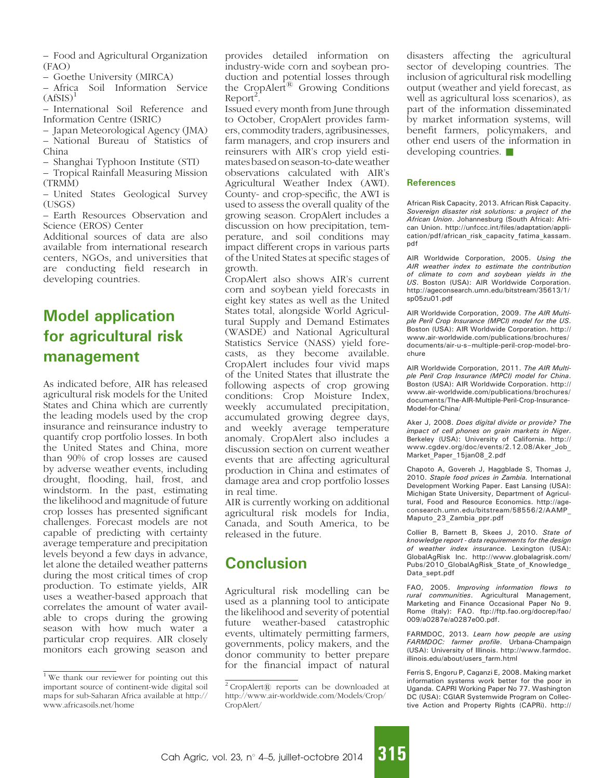– Food and Agricultural Organization (FAO)

– Goethe University (MIRCA)

– Africa Soil Information Service  $(AffSIS)^1$ 

- International Soil Reference and Information Centre (ISRIC)
- Japan Meteorological Agency (JMA) – National Bureau of Statistics of China
- Shanghai Typhoon Institute (STI)

– Tropical Rainfall Measuring Mission (TRMM)

- United States Geological Survey (USGS)
- Earth Resources Observation and Science (EROS) Center

Additional sources of data are also available from international research centers, NGOs, and universities that are conducting field research in developing countries.

# Model application for agricultural risk management

As indicated before, AIR has released agricultural risk models for the United States and China which are currently the leading models used by the crop insurance and reinsurance industry to quantify crop portfolio losses. In both the United States and China, more than 90% of crop losses are caused by adverse weather events, including drought, flooding, hail, frost, and windstorm. In the past, estimating the likelihood and magnitude of future crop losses has presented significant challenges. Forecast models are not capable of predicting with certainty average temperature and precipitation levels beyond a few days in advance, let alone the detailed weather patterns during the most critical times of crop production. To estimate yields, AIR uses a weather-based approach that correlates the amount of water available to crops during the growing season with how much water a particular crop requires. AIR closely monitors each growing season and provides detailed information on industry-wide corn and soybean production and potential losses through the CropAlert<sup>®</sup> Growing Conditions  $Report<sup>2</sup>$ .

Issued every month from June through to October, CropAlert provides farmers, commodity traders, agribusinesses, farm managers, and crop insurers and reinsurers with AIR's crop yield estimates based on season-to-date weather observations calculated with AIR's Agricultural Weather Index (AWI). County- and crop-specific, the AWI is used to assess the overall quality of the growing season. CropAlert includes a discussion on how precipitation, temperature, and soil conditions may impact different crops in various parts of the United States at specific stages of growth.

CropAlert also shows AIR's current corn and soybean yield forecasts in eight key states as well as the United States total, alongside World Agricultural Supply and Demand Estimates (WASDE) and National Agricultural Statistics Service (NASS) yield forecasts, as they become available. CropAlert includes four vivid maps of the United States that illustrate the following aspects of crop growing conditions: Crop Moisture Index, weekly accumulated precipitation, accumulated growing degree days, and weekly average temperature anomaly. CropAlert also includes a discussion section on current weather events that are affecting agricultural production in China and estimates of damage area and crop portfolio losses in real time.

AIR is currently working on additional agricultural risk models for India, Canada, and South America, to be released in the future.

## **Conclusion**

Agricultural risk modelling can be used as a planning tool to anticipate the likelihood and severity of potential future weather-based catastrophic events, ultimately permitting farmers, governments, policy makers, and the donor community to better prepare for the financial impact of natural disasters affecting the agricultural sector of developing countries. The inclusion of agricultural risk modelling output (weather and yield forecast, as well as agricultural loss scenarios), as part of the information disseminated by market information systems, will benefit farmers, policymakers, and other end users of the information in developing countries.

#### References

African Risk Capacity, 2013. African Risk Capacity. Sovereign disaster risk solutions: a project of the African Union. Johannesburg (South Africa): African Union. http://unfccc.int/files/adaptation/application/pdf/african\_risk\_capacity\_fatima\_kassam. pdf

AIR Worldwide Corporation, 2005. Using the AIR weather index to estimate the contribution of climate to corn and soybean yields in the US. Boston (USA): AIR Worldwide Corporation. http://ageconsearch.umn.edu/bitstream/35613/1/ sp05zu01.pdf

AIR Worldwide Corporation, 2009. The AIR Multiple Peril Crop Insurance (MPCI) model for the US. Boston (USA): AIR Worldwide Corporation. http:// www.air-worldwide.com/publications/brochures/ documents/air-u-s–multiple-peril-crop-model-brochure

AIR Worldwide Corporation, 2011. The AIR Multiple Peril Crop Insurance (MPCI) model for China. Boston (USA): AIR Worldwide Corporation. http:// www.air-worldwide.com/publications/brochures/ documents/The-AIR-Multiple-Peril-Crop-Insurance-Model-for-China/

Aker J, 2008. Does digital divide or provide? The impact of cell phones on grain markets in Niger. Berkeley (USA): University of California. http:// www.cgdev.org/doc/events/2.12.08/Aker\_Job\_ Market\_Paper\_15jan08\_2.pdf

Chapoto A, Govereh J, Haggblade S, Thomas J, 2010. Staple food prices in Zambia. International Development Working Paper. East Lansing (USA): Michigan State University, Department of Agricultural, Food and Resource Economics. http://ageconsearch.umn.edu/bitstream/58556/2/AAMP\_ Maputo\_23\_Zambia\_ppr.pdf

Collier B, Barnett B, Skees J, 2010. State of knowledge report - data requirements for the design of weather index insurance. Lexington (USA): GlobalAgRisk Inc. http://www.globalagrisk.com/ Pubs/2010\_GlobalAgRisk\_State\_of\_Knowledge\_ Data\_sept.pdf

FAO, 2005. Improving information flows to rural communities. Agricultural Management, Marketing and Finance Occasional Paper No 9. Rome (Italy): FAO. ftp://ftp.fao.org/docrep/fao/ 009/a0287e/a0287e00.pdf.

FARMDOC, 2013. Learn how people are using FARMDOC: farmer profile. Urbana-Champaign (USA): University of Illinois. http://www.farmdoc. illinois.edu/about/users\_farm.html

Ferris S, Engoru P, Caganzi E, 2008. Making market information systems work better for the poor in Uganda. CAPRI Working Paper No 77. Washington DC (USA): CGIAR Systemwide Program on Collective Action and Property Rights (CAPRi). http://

<sup>&</sup>lt;sup>1</sup> We thank our reviewer for pointing out this important source of continent-wide digital soil maps for sub-Saharan Africa available at http:// www.africasoils.net/home

 $2$  CropAlert $@$  reports can be downloaded at http://www.air-worldwide.com/Models/Crop/ CropAlert/